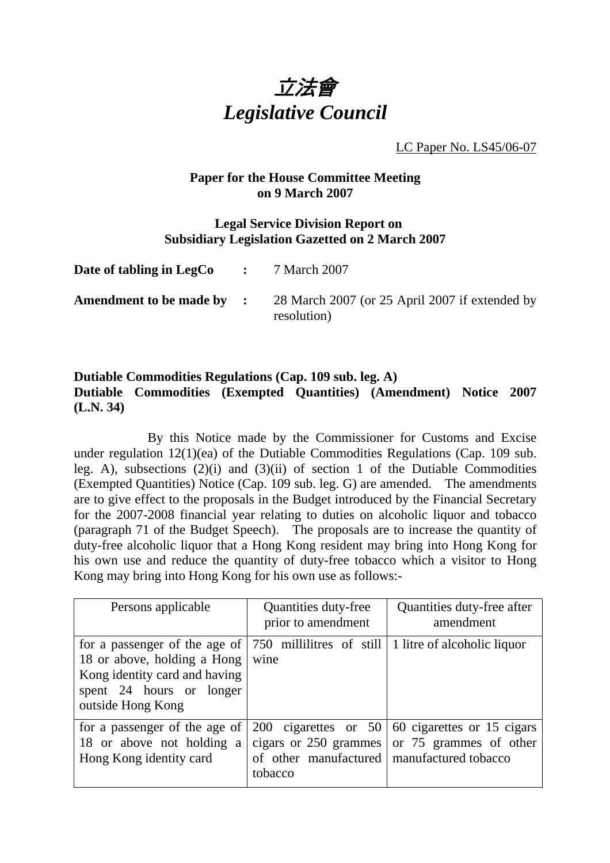

LC Paper No. LS45/06-07

## **Paper for the House Committee Meeting on 9 March 2007**

## **Legal Service Division Report on Subsidiary Legislation Gazetted on 2 March 2007**

| Date of tabling in LegCo  | $\mathbf{L} = \mathbf{L} \mathbf{L}$ | 7 March 2007                                                  |
|---------------------------|--------------------------------------|---------------------------------------------------------------|
| Amendment to be made by : |                                      | 28 March 2007 (or 25 April 2007 if extended by<br>resolution) |

## **Dutiable Commodities Regulations (Cap. 109 sub. leg. A) Dutiable Commodities (Exempted Quantities) (Amendment) Notice 2007 (L.N. 34)**

 By this Notice made by the Commissioner for Customs and Excise under regulation 12(1)(ea) of the Dutiable Commodities Regulations (Cap. 109 sub. leg. A), subsections  $(2)(i)$  and  $(3)(ii)$  of section 1 of the Dutiable Commodities (Exempted Quantities) Notice (Cap. 109 sub. leg. G) are amended. The amendments are to give effect to the proposals in the Budget introduced by the Financial Secretary for the 2007-2008 financial year relating to duties on alcoholic liquor and tobacco (paragraph 71 of the Budget Speech). The proposals are to increase the quantity of duty-free alcoholic liquor that a Hong Kong resident may bring into Hong Kong for his own use and reduce the quantity of duty-free tobacco which a visitor to Hong Kong may bring into Hong Kong for his own use as follows:-

| Persons applicable                                                                                                                                                             | Quantities duty-free<br>prior to amendment                                       | Quantities duty-free after<br>amendment                                       |
|--------------------------------------------------------------------------------------------------------------------------------------------------------------------------------|----------------------------------------------------------------------------------|-------------------------------------------------------------------------------|
| for a passenger of the age of $ 750$ millilities of still $ $<br>18 or above, holding a Hong<br>Kong identity card and having<br>spent 24 hours or longer<br>outside Hong Kong | wine                                                                             | 1 litre of alcoholic liquor                                                   |
| for a passenger of the age of<br>18 or above not holding a<br>Hong Kong identity card                                                                                          | cigars or 250 grammes<br>of other manufactured   manufactured tobacco<br>tobacco | 200 cigarettes or $50   60$ cigarettes or 15 cigars<br>or 75 grammes of other |